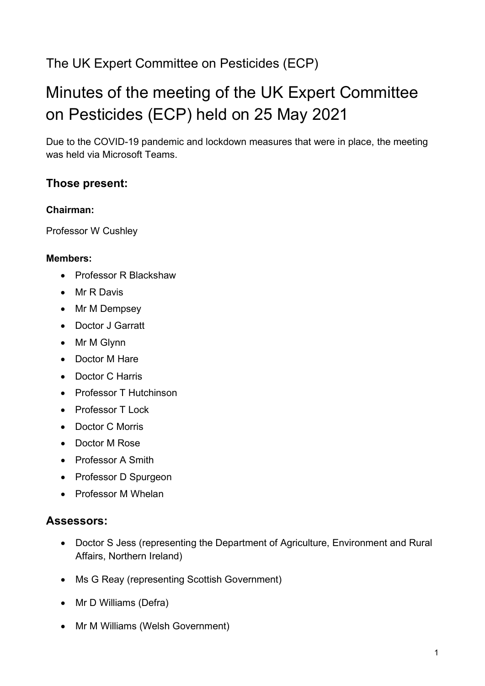# The UK Expert Committee on Pesticides (ECP)

# Minutes of the meeting of the UK Expert Committee on Pesticides (ECP) held on 25 May 2021

Due to the COVID-19 pandemic and lockdown measures that were in place, the meeting was held via Microsoft Teams.

## **Those present:**

## **Chairman:**

Professor W Cushley

## **Members:**

- Professor R Blackshaw
- Mr R Davis
- Mr M Dempsey
- Doctor J Garratt
- Mr M Glynn
- Doctor M Hare
- Doctor C Harris
- Professor T Hutchinson
- Professor T Lock
- Doctor C Morris
- Doctor M Rose
- Professor A Smith
- Professor D Spurgeon
- Professor M Whelan

## **Assessors:**

- Doctor S Jess (representing the Department of Agriculture, Environment and Rural Affairs, Northern Ireland)
- Ms G Reay (representing Scottish Government)
- Mr D Williams (Defra)
- Mr M Williams (Welsh Government)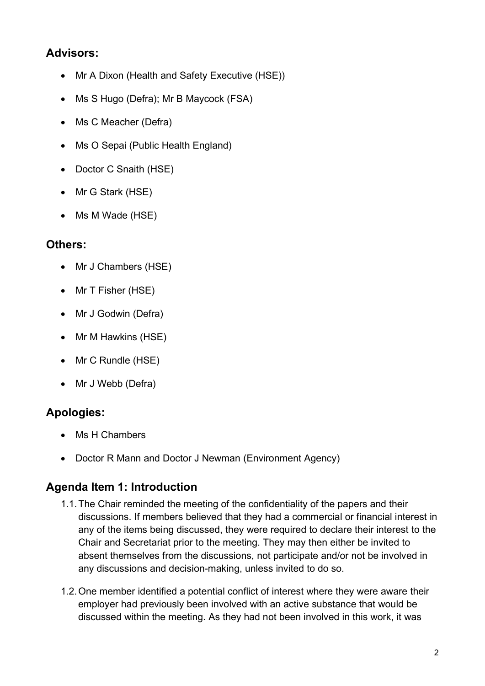# **Advisors:**

- Mr A Dixon (Health and Safety Executive (HSE))
- Ms S Hugo (Defra); Mr B Maycock (FSA)
- Ms C Meacher (Defra)
- Ms O Sepai (Public Health England)
- Doctor C Snaith (HSE)
- Mr G Stark (HSE)
- Ms M Wade (HSE)

## **Others:**

- Mr J Chambers (HSE)
- Mr T Fisher (HSE)
- Mr J Godwin (Defra)
- Mr M Hawkins (HSE)
- Mr C Rundle (HSE)
- Mr J Webb (Defra)

# **Apologies:**

- Ms H Chambers
- Doctor R Mann and Doctor J Newman (Environment Agency)

# **Agenda Item 1: Introduction**

- 1.1.The Chair reminded the meeting of the confidentiality of the papers and their discussions. If members believed that they had a commercial or financial interest in any of the items being discussed, they were required to declare their interest to the Chair and Secretariat prior to the meeting. They may then either be invited to absent themselves from the discussions, not participate and/or not be involved in any discussions and decision-making, unless invited to do so.
- 1.2.One member identified a potential conflict of interest where they were aware their employer had previously been involved with an active substance that would be discussed within the meeting. As they had not been involved in this work, it was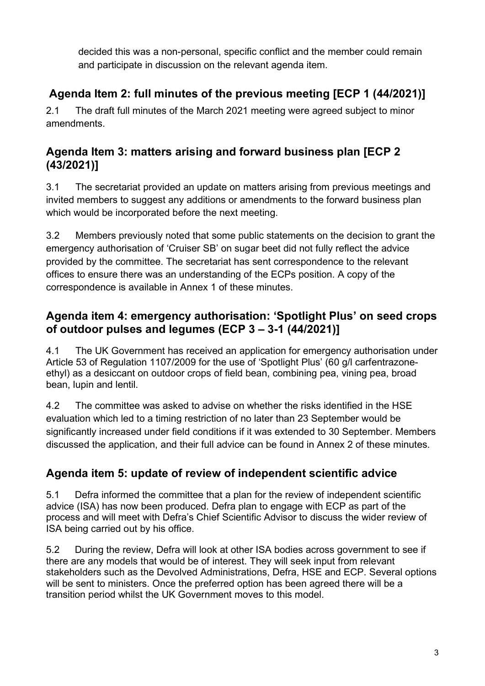decided this was a non-personal, specific conflict and the member could remain and participate in discussion on the relevant agenda item.

# **Agenda Item 2: full minutes of the previous meeting [ECP 1 (44/2021)]**

2.1 The draft full minutes of the March 2021 meeting were agreed subject to minor amendments.

# **Agenda Item 3: matters arising and forward business plan [ECP 2 (43/2021)]**

3.1 The secretariat provided an update on matters arising from previous meetings and invited members to suggest any additions or amendments to the forward business plan which would be incorporated before the next meeting.

3.2 Members previously noted that some public statements on the decision to grant the emergency authorisation of 'Cruiser SB' on sugar beet did not fully reflect the advice provided by the committee. The secretariat has sent correspondence to the relevant offices to ensure there was an understanding of the ECPs position. A copy of the correspondence is available in Annex 1 of these minutes.

# **Agenda item 4: emergency authorisation: 'Spotlight Plus' on seed crops of outdoor pulses and legumes (ECP 3 – 3-1 (44/2021)]**

4.1 The UK Government has received an application for emergency authorisation under Article 53 of Regulation 1107/2009 for the use of 'Spotlight Plus' (60 g/l carfentrazoneethyl) as a desiccant on outdoor crops of field bean, combining pea, vining pea, broad bean, lupin and lentil.

4.2 The committee was asked to advise on whether the risks identified in the HSE evaluation which led to a timing restriction of no later than 23 September would be significantly increased under field conditions if it was extended to 30 September. Members discussed the application, and their full advice can be found in Annex 2 of these minutes.

# **Agenda item 5: update of review of independent scientific advice**

5.1 Defra informed the committee that a plan for the review of independent scientific advice (ISA) has now been produced. Defra plan to engage with ECP as part of the process and will meet with Defra's Chief Scientific Advisor to discuss the wider review of ISA being carried out by his office.

5.2 During the review, Defra will look at other ISA bodies across government to see if there are any models that would be of interest. They will seek input from relevant stakeholders such as the Devolved Administrations, Defra, HSE and ECP. Several options will be sent to ministers. Once the preferred option has been agreed there will be a transition period whilst the UK Government moves to this model.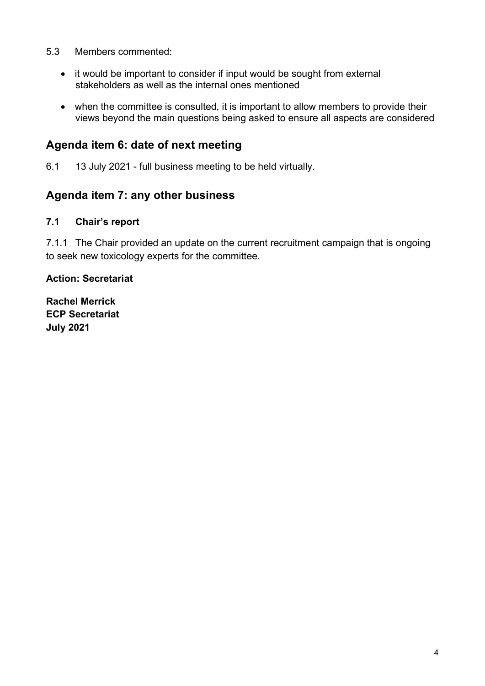- 5.3 Members commented:
	- it would be important to consider if input would be sought from external stakeholders as well as the internal ones mentioned
	- when the committee is consulted, it is important to allow members to provide their views beyond the main questions being asked to ensure all aspects are considered

## **Agenda item 6: date of next meeting**

6.1 13 July 2021 - full business meeting to be held virtually.

## **Agenda item 7: any other business**

#### **7.1 Chair's report**

7.1.1 The Chair provided an update on the current recruitment campaign that is ongoing to seek new toxicology experts for the committee.

#### **Action: Secretariat**

**Rachel Merrick ECP Secretariat July 2021**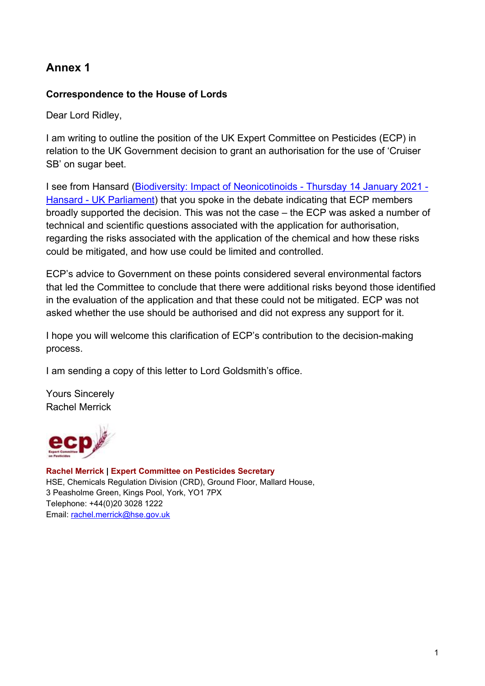# **Annex 1**

## **Correspondence to the House of Lords**

Dear Lord Ridley,

I am writing to outline the position of the UK Expert Committee on Pesticides (ECP) in relation to the UK Government decision to grant an authorisation for the use of 'Cruiser SB' on sugar beet.

I see from Hansard [\(Biodiversity: Impact of Neonicotinoids -](https://hansard.parliament.uk/lords/2021-01-14/debates/770A08C1-CD91-49A3-877F-9BE5203AC715/Debate) Thursday 14 January 2021 - Hansard - [UK Parliament\)](https://hansard.parliament.uk/lords/2021-01-14/debates/770A08C1-CD91-49A3-877F-9BE5203AC715/Debate) that you spoke in the debate indicating that ECP members broadly supported the decision. This was not the case – the ECP was asked a number of technical and scientific questions associated with the application for authorisation, regarding the risks associated with the application of the chemical and how these risks could be mitigated, and how use could be limited and controlled.

ECP's advice to Government on these points considered several environmental factors that led the Committee to conclude that there were additional risks beyond those identified in the evaluation of the application and that these could not be mitigated. ECP was not asked whether the use should be authorised and did not express any support for it.

I hope you will welcome this clarification of ECP's contribution to the decision-making process.

I am sending a copy of this letter to Lord Goldsmith's office.

Yours Sincerely Rachel Merrick



**Rachel Merrick | Expert Committee on Pesticides Secretary**  HSE, Chemicals Regulation Division (CRD), Ground Floor, Mallard House, 3 Peasholme Green, Kings Pool, York, YO1 7PX Telephone: +44(0)20 3028 1222 Email: [rachel.merrick@hse.gov.uk](mailto:rachel.merrick@hse.gov.uk)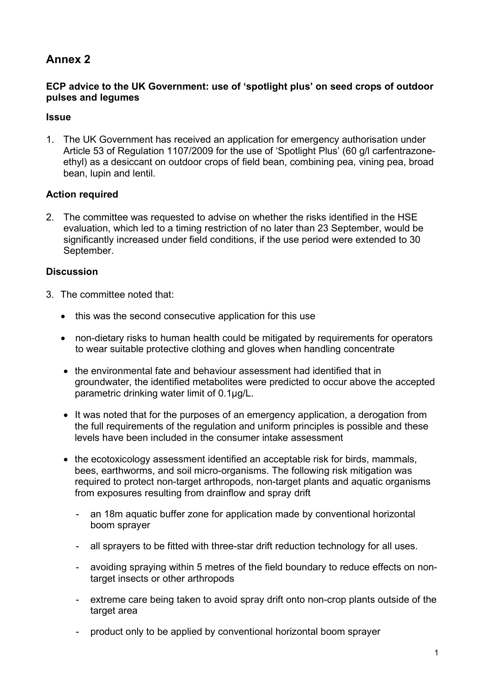## **Annex 2**

#### **ECP advice to the UK Government: use of 'spotlight plus' on seed crops of outdoor pulses and legumes**

#### **Issue**

1. The UK Government has received an application for emergency authorisation under Article 53 of Regulation 1107/2009 for the use of 'Spotlight Plus' (60 g/l carfentrazoneethyl) as a desiccant on outdoor crops of field bean, combining pea, vining pea, broad bean, lupin and lentil.

#### **Action required**

2. The committee was requested to advise on whether the risks identified in the HSE evaluation, which led to a timing restriction of no later than 23 September, would be significantly increased under field conditions, if the use period were extended to 30 September.

#### **Discussion**

- 3. The committee noted that:
	- this was the second consecutive application for this use
	- non-dietary risks to human health could be mitigated by requirements for operators to wear suitable protective clothing and gloves when handling concentrate
	- the environmental fate and behaviour assessment had identified that in groundwater, the identified metabolites were predicted to occur above the accepted parametric drinking water limit of 0.1μg/L.
	- It was noted that for the purposes of an emergency application, a derogation from the full requirements of the regulation and uniform principles is possible and these levels have been included in the consumer intake assessment
	- the ecotoxicology assessment identified an acceptable risk for birds, mammals, bees, earthworms, and soil micro-organisms. The following risk mitigation was required to protect non-target arthropods, non-target plants and aquatic organisms from exposures resulting from drainflow and spray drift
		- an 18m aquatic buffer zone for application made by conventional horizontal boom sprayer
		- all sprayers to be fitted with three-star drift reduction technology for all uses.
		- avoiding spraying within 5 metres of the field boundary to reduce effects on nontarget insects or other arthropods
		- extreme care being taken to avoid spray drift onto non-crop plants outside of the target area
		- product only to be applied by conventional horizontal boom sprayer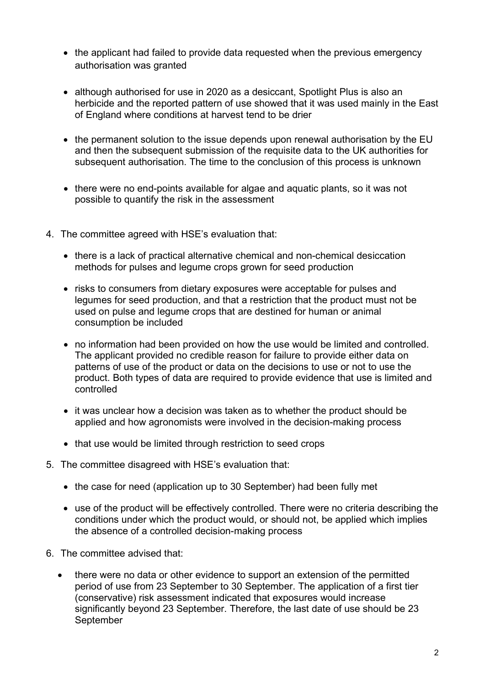- the applicant had failed to provide data requested when the previous emergency authorisation was granted
- although authorised for use in 2020 as a desiccant, Spotlight Plus is also an herbicide and the reported pattern of use showed that it was used mainly in the East of England where conditions at harvest tend to be drier
- the permanent solution to the issue depends upon renewal authorisation by the EU and then the subsequent submission of the requisite data to the UK authorities for subsequent authorisation. The time to the conclusion of this process is unknown
- there were no end-points available for algae and aquatic plants, so it was not possible to quantify the risk in the assessment
- 4. The committee agreed with HSE's evaluation that:
	- there is a lack of practical alternative chemical and non-chemical desiccation methods for pulses and legume crops grown for seed production
	- risks to consumers from dietary exposures were acceptable for pulses and legumes for seed production, and that a restriction that the product must not be used on pulse and legume crops that are destined for human or animal consumption be included
	- no information had been provided on how the use would be limited and controlled. The applicant provided no credible reason for failure to provide either data on patterns of use of the product or data on the decisions to use or not to use the product. Both types of data are required to provide evidence that use is limited and controlled
	- it was unclear how a decision was taken as to whether the product should be applied and how agronomists were involved in the decision-making process
	- that use would be limited through restriction to seed crops
- 5. The committee disagreed with HSE's evaluation that:
	- the case for need (application up to 30 September) had been fully met
	- use of the product will be effectively controlled. There were no criteria describing the conditions under which the product would, or should not, be applied which implies the absence of a controlled decision-making process
- 6. The committee advised that:
	- there were no data or other evidence to support an extension of the permitted period of use from 23 September to 30 September. The application of a first tier (conservative) risk assessment indicated that exposures would increase significantly beyond 23 September. Therefore, the last date of use should be 23 September